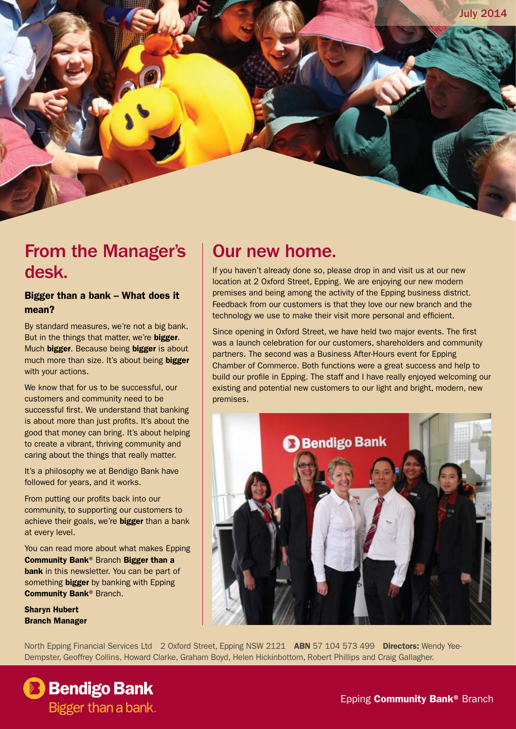

### From the Manager's desk.

#### Bigger than a bank – What does it mean?

By standard measures, we're not a big bank. But in the things that matter, we're bigger. Much bigger. Because being bigger is about much more than size. It's about being bigger with your actions.

We know that for us to be successful, our customers and community need to be successful first. We understand that banking is about more than just profits. It's about the good that money can bring. It's about helping to create a vibrant, thriving community and caring about the things that really matter.

It's a philosophy we at Bendigo Bank have followed for years, and it works.

From putting our profits back into our community, to supporting our customers to achieve their goals, we're **bigger** than a bank at every level.

You can read more about what makes Epping Community Bank® Branch Bigger than a bank in this newsletter. You can be part of something **bigger** by banking with Epping Community Bank® Branch.

Sharyn Hubert Branch Manager

### Our new home.

If you haven't already done so, please drop in and visit us at our new location at 2 Oxford Street, Epping. We are enjoying our new modern premises and being among the activity of the Epping business district. Feedback from our customers is that they love our new branch and the technology we use to make their visit more personal and efficient.

Since opening in Oxford Street, we have held two major events. The first was a launch celebration for our customers, shareholders and community partners. The second was a Business After-Hours event for Epping Chamber of Commerce. Both functions were a great success and help to build our profile in Epping. The staff and I have really enjoyed welcoming our existing and potential new customers to our light and bright, modern, new premises.



North Epping Financial Services Ltd 2 Oxford Street, Epping NSW 2121 ABN 57 104 573 499 Directors: Wendy Yee-Dempster, Geoffrey Collins, Howard Clarke, Graham Boyd, Helen Hickinbottom, Robert Phillips and Craig Gallagher.

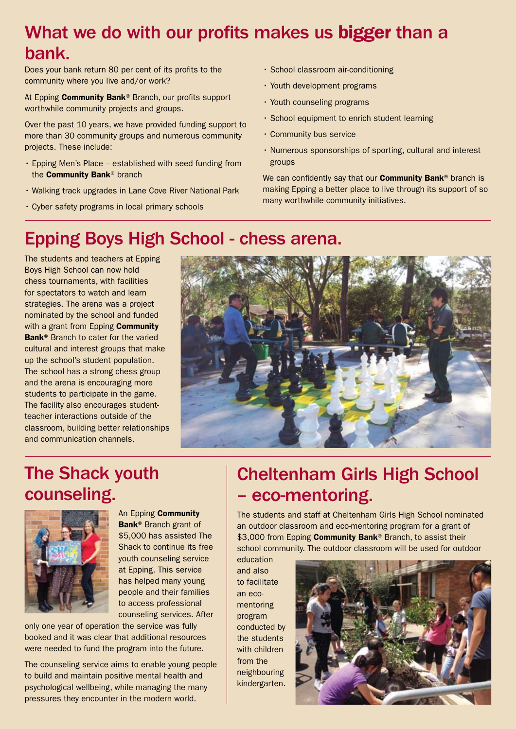## What we do with our profits makes us bigger than a bank.

Does your bank return 80 per cent of its profits to the community where you live and/or work?

At Epping Community Bank® Branch, our profits support worthwhile community projects and groups.

Over the past 10 years, we have provided funding support to more than 30 community groups and numerous community projects. These include:

- • Epping Men's Place established with seed funding from the **Community Bank®** branch
- • Walking track upgrades in Lane Cove River National Park
- • Cyber safety programs in local primary schools
- • School classroom air-conditioning
- Youth development programs
- Youth counseling programs
- • School equipment to enrich student learning
- • Community bus service
- • Numerous sponsorships of sporting, cultural and interest groups

We can confidently say that our **Community Bank®** branch is making Epping a better place to live through its support of so many worthwhile community initiatives.

### Epping Boys High School - chess arena.

The students and teachers at Epping Boys High School can now hold chess tournaments, with facilities for spectators to watch and learn strategies. The arena was a project nominated by the school and funded with a grant from Epping **Community** Bank<sup>®</sup> Branch to cater for the varied cultural and interest groups that make up the school's student population. The school has a strong chess group and the arena is encouraging more students to participate in the game. The facility also encourages studentteacher interactions outside of the classroom, building better relationships and communication channels.



## The Shack youth counseling.



An Epping Community Bank® Branch grant of \$5,000 has assisted The Shack to continue its free youth counseling service at Epping. This service has helped many young people and their families to access professional counseling services. After

only one year of operation the service was fully booked and it was clear that additional resources were needed to fund the program into the future.

The counseling service aims to enable young people to build and maintain positive mental health and psychological wellbeing, while managing the many pressures they encounter in the modern world.

## Cheltenham Girls High School – eco-mentoring.

The students and staff at Cheltenham Girls High School nominated an outdoor classroom and eco-mentoring program for a grant of \$3,000 from Epping Community Bank® Branch, to assist their school community. The outdoor classroom will be used for outdoor

education and also to facilitate an ecomentoring program conducted by the students with children from the neighbouring kindergarten.

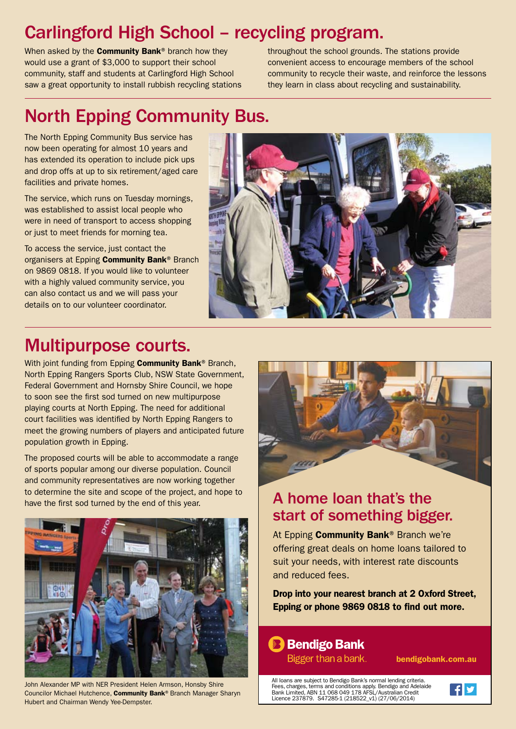# Carlingford High School – recycling program.

When asked by the **Community Bank**<sup>®</sup> branch how they would use a grant of \$3,000 to support their school community, staff and students at Carlingford High School saw a great opportunity to install rubbish recycling stations throughout the school grounds. The stations provide convenient access to encourage members of the school community to recycle their waste, and reinforce the lessons they learn in class about recycling and sustainability.

# North Epping Community Bus.

The North Epping Community Bus service has now been operating for almost 10 years and has extended its operation to include pick ups and drop offs at up to six retirement/aged care facilities and private homes.

The service, which runs on Tuesday mornings, was established to assist local people who were in need of transport to access shopping or just to meet friends for morning tea.

To access the service, just contact the organisers at Epping **Community Bank®** Branch on 9869 0818. If you would like to volunteer with a highly valued community service, you can also contact us and we will pass your details on to our volunteer coordinator.



## Multipurpose courts.

With joint funding from Epping **Community Bank®** Branch, North Epping Rangers Sports Club, NSW State Government, Federal Government and Hornsby Shire Council, we hope to soon see the first sod turned on new multipurpose playing courts at North Epping. The need for additional court facilities was identified by North Epping Rangers to meet the growing numbers of players and anticipated future population growth in Epping.

The proposed courts will be able to accommodate a range of sports popular among our diverse population. Council and community representatives are now working together to determine the site and scope of the project, and hope to have the first sod turned by the end of this year.



John Alexander MP with NER President Helen Armson, Honsby Shire Councilor Michael Hutchence, Community Bank® Branch Manager Sharyn Hubert and Chairman Wendy Yee-Dempster.



#### A home loan that's the start of something bigger.

At Epping Community Bank<sup>®</sup> Branch we're offering great deals on home loans tailored to suit your needs, with interest rate discounts and reduced fees.

Drop into your nearest branch at 2 Oxford Street, Epping or phone 9869 0818 to find out more.

#### **B** Bendigo Bank

Bigger than a bank.

bendigobank.com.au

All loans are subject to Bendigo Bank's normal lending criteria. Fees, charges, terms and conditions apply. Bendigo and Adelaide<br>Bank Limited, ABN 11 068 049 178 AFSL/Australian Credit<br>Licence 237879. S47285-1 (218522\_v1) (27/06/2014)